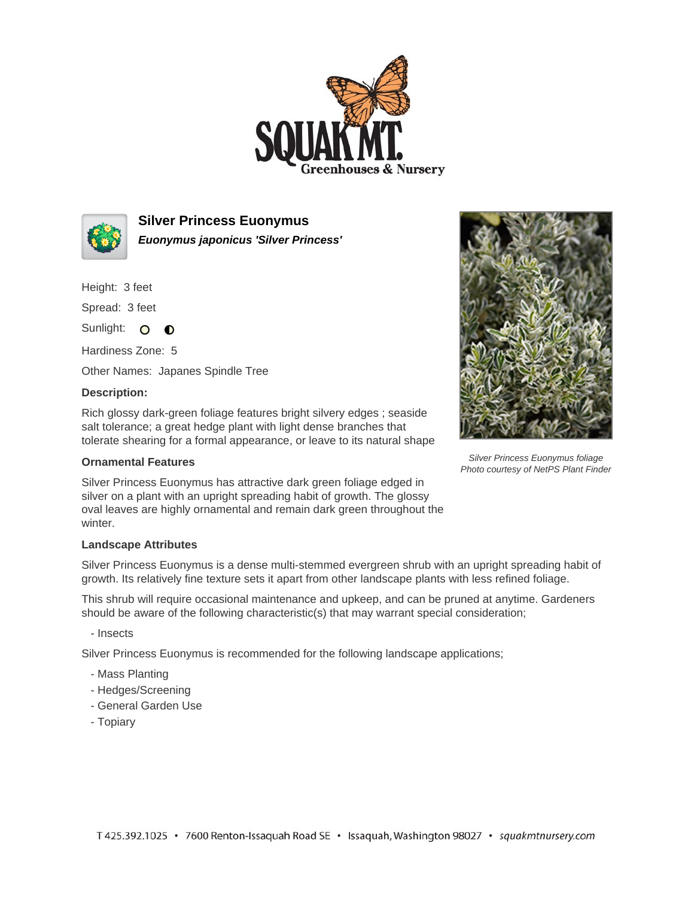



**Silver Princess Euonymus Euonymus japonicus 'Silver Princess'**

Height: 3 feet

Spread: 3 feet

Sunlight: O **O** 

Hardiness Zone: 5

Other Names: Japanes Spindle Tree

## **Description:**

Rich glossy dark-green foliage features bright silvery edges ; seaside salt tolerance; a great hedge plant with light dense branches that tolerate shearing for a formal appearance, or leave to its natural shape

## **Ornamental Features**

Silver Princess Euonymus has attractive dark green foliage edged in silver on a plant with an upright spreading habit of growth. The glossy oval leaves are highly ornamental and remain dark green throughout the winter.

## **Landscape Attributes**

Silver Princess Euonymus is a dense multi-stemmed evergreen shrub with an upright spreading habit of growth. Its relatively fine texture sets it apart from other landscape plants with less refined foliage.

This shrub will require occasional maintenance and upkeep, and can be pruned at anytime. Gardeners should be aware of the following characteristic(s) that may warrant special consideration;

- Insects

Silver Princess Euonymus is recommended for the following landscape applications;

- Mass Planting
- Hedges/Screening
- General Garden Use
- Topiary



Silver Princess Euonymus foliage Photo courtesy of NetPS Plant Finder